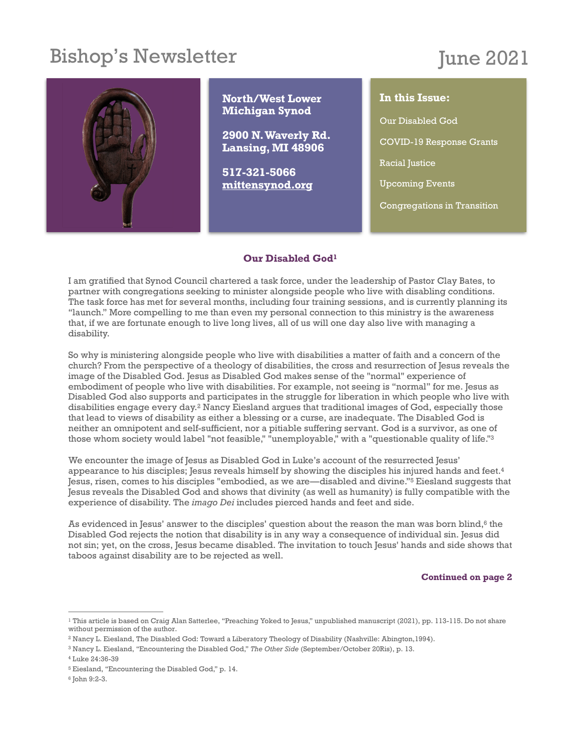# Bishop's Newsletter

# June 2021



#### <span id="page-0-6"></span>**Our Disabled Go[d1](#page-0-0)**

I am gratified that Synod Council chartered a task force, under the leadership of Pastor Clay Bates, to partner with congregations seeking to minister alongside people who live with disabling conditions. The task force has met for several months, including four training sessions, and is currently planning its "launch." More compelling to me than even my personal connection to this ministry is the awareness that, if we are fortunate enough to live long lives, all of us will one day also live with managing a disability.

So why is ministering alongside people who live with disabilities a matter of faith and a concern of the church? From the perspective of a theology of disabilities, the cross and resurrection of Jesus reveals the image of the Disabled God. Jesus as Disabled God makes sense of the "normal" experience of embodiment of people who live with disabilities. For example, not seeing is "normal" for me. Jesus as Disabled God also supports and participates in the struggle for liberation in which people who live with disabilities engage every day.<sup>[2](#page-0-1)</sup> Nancy Eiesland argues that traditional images of God, especially those that lead to views of disability as either a blessing or a curse, are inadequate. The Disabled God is neither an omnipotent and self-sufficient, nor a pitiable suffering servant. God is a survivor, as one of those whom society would label "not feasible," "unemployable," with a "questionable quality of life.["3](#page-0-2)

<span id="page-0-7"></span>We encounter the image of Jesus as Disabled God in Luke's account of the resurrected Jesus' appearance to his disciples; Jesus reveals himself by showing the disciples his injured hands and feet.<sup>4</sup> Jesus, risen, comes to his disciples "embodied, as we are—disabled and divine."<sup>[5](#page-0-4)</sup> Eiesland suggests that Jesus reveals the Disabled God and shows that divinity (as well as humanity) is fully compatible with the experience of disability. The *imago Dei* includes pierced hands and feet and side.

Asevidenced in Jesus' answer to the disciples' question about the reason the man was born blind, $6$  the Disabled God rejects the notion that disability is in any way a consequence of individual sin. Jesus did not sin; yet, on the cross, Jesus became disabled. The invitation to touch Jesus' hands and side shows that taboos against disability are to be rejected as well.

<span id="page-0-11"></span><span id="page-0-10"></span><span id="page-0-9"></span><span id="page-0-8"></span>**Continued on page 2**

<span id="page-0-0"></span><sup>&</sup>lt;sup>1</sup>This article is based on Craig Alan Satterlee, "Preaching Yoked to Jesus," unpublished manuscript (202[1](#page-0-6)), pp. 113-115. Do not share without permission of the author.

<span id="page-0-1"></span><sup>&</sup>lt;sup>2</sup>Nancy L. Eiesland, The Disabled God: Toward a Liberatory Theology of Disability (Nashville: Abington,1994).

<span id="page-0-2"></span><sup>&</sup>lt;sup>[3](#page-0-8)</sup> Nancy L. Eiesland, "Encountering the Disabled God," The Other Side (September/October 20Ris), p. 13.

<span id="page-0-3"></span>[<sup>4</sup>](#page-0-9) Luke 24:36-39

<span id="page-0-4"></span><sup>&</sup>lt;sup>5</sup>Eiesland, "Encountering the Disabled God," p. 14.

<span id="page-0-5"></span> $6$  John 9:2-3.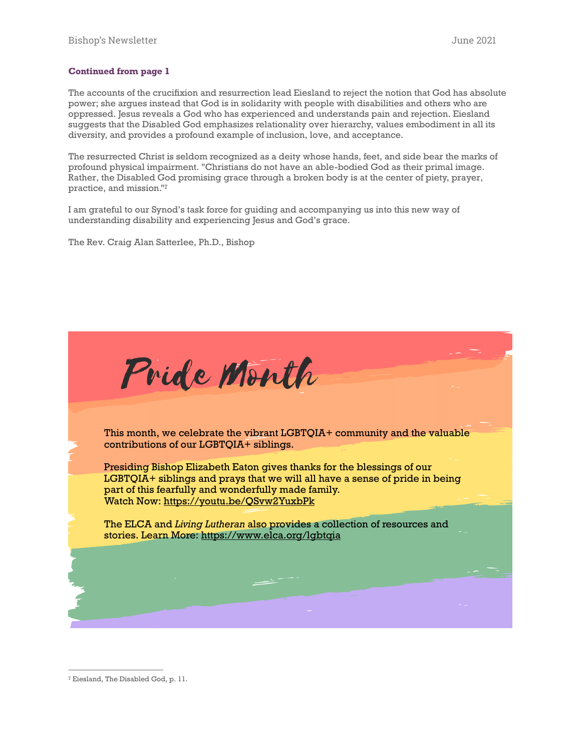#### **Continued from page 1**

The accounts of the crucifixion and resurrection lead Eiesland to reject the notion that God has absolute power; she argues instead that God is in solidarity with people with disabilities and others who are oppressed. Jesus reveals a God who has experienced and understands pain and rejection. Eiesland suggests that the Disabled God emphasizes relationality over hierarchy, values embodiment in all its diversity, and provides a profound example of inclusion, love, and acceptance.

The resurrected Christ is seldom recognized as a deity whose hands, feet, and side bear the marks of profound physical impairment. "Christians do not have an able-bodied God as their primal image. Rather, the Disabled God promising grace through a broken body is at the center of piety, prayer, practice, and mission.["7](#page-1-0)

<span id="page-1-1"></span>I am grateful to our Synod's task force for guiding and accompanying us into this new way of understanding disability and experiencing Jesus and God's grace.

The Rev. Craig Alan Satterlee, Ph.D., Bishop



<span id="page-1-0"></span><sup>&</sup>lt;sup>[7](#page-1-1)</sup> Eiesland, The Disabled God, p. 11.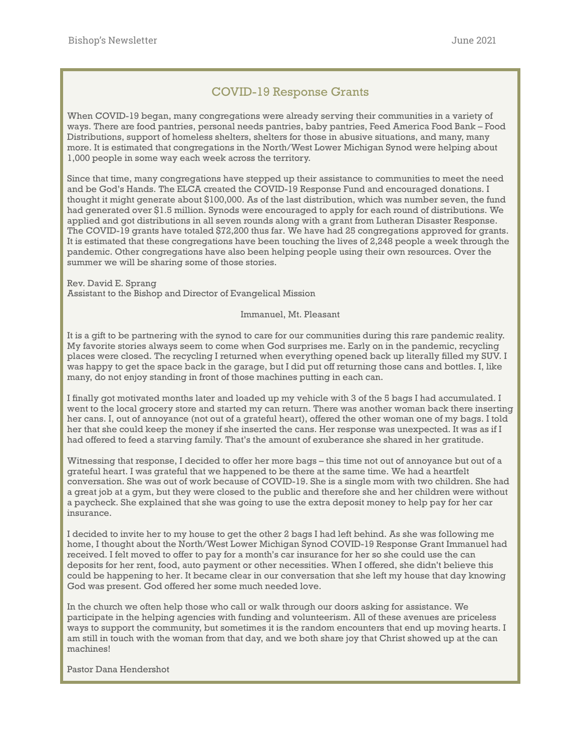# COVID-19 Response Grants

When COVID-19 began, many congregations were already serving their communities in a variety of ways. There are food pantries, personal needs pantries, baby pantries, Feed America Food Bank – Food Distributions, support of homeless shelters, shelters for those in abusive situations, and many, many more. It is estimated that congregations in the North/West Lower Michigan Synod were helping about 1,000 people in some way each week across the territory.

Since that time, many congregations have stepped up their assistance to communities to meet the need and be God's Hands. The ELCA created the COVID-19 Response Fund and encouraged donations. I thought it might generate about \$100,000. As of the last distribution, which was number seven, the fund had generated over \$1.5 million. Synods were encouraged to apply for each round of distributions. We applied and got distributions in all seven rounds along with a grant from Lutheran Disaster Response. The COVID-19 grants have totaled \$72,200 thus far. We have had 25 congregations approved for grants. It is estimated that these congregations have been touching the lives of 2,248 people a week through the pandemic. Other congregations have also been helping people using their own resources. Over the summer we will be sharing some of those stories.

Rev. David E. Sprang Assistant to the Bishop and Director of Evangelical Mission

Immanuel, Mt. Pleasant

It is a gift to be partnering with the synod to care for our communities during this rare pandemic reality. My favorite stories always seem to come when God surprises me. Early on in the pandemic, recycling places were closed. The recycling I returned when everything opened back up literally filled my SUV. I was happy to get the space back in the garage, but I did put off returning those cans and bottles. I, like many, do not enjoy standing in front of those machines putting in each can.

I finally got motivated months later and loaded up my vehicle with 3 of the 5 bags I had accumulated. I went to the local grocery store and started my can return. There was another woman back there inserting her cans. I, out of annoyance (not out of a grateful heart), offered the other woman one of my bags. I told her that she could keep the money if she inserted the cans. Her response was unexpected. It was as if I had offered to feed a starving family. That's the amount of exuberance she shared in her gratitude.

Witnessing that response, I decided to offer her more bags – this time not out of annoyance but out of a grateful heart. I was grateful that we happened to be there at the same time. We had a heartfelt conversation. She was out of work because of COVID-19. She is a single mom with two children. She had a great job at a gym, but they were closed to the public and therefore she and her children were without a paycheck. She explained that she was going to use the extra deposit money to help pay for her car insurance.

I decided to invite her to my house to get the other 2 bags I had left behind. As she was following me home, I thought about the North/West Lower Michigan Synod COVID-19 Response Grant Immanuel had received. I felt moved to offer to pay for a month's car insurance for her so she could use the can deposits for her rent, food, auto payment or other necessities. When I offered, she didn't believe this could be happening to her. It became clear in our conversation that she left my house that day knowing God was present. God offered her some much needed love.

In the church we often help those who call or walk through our doors asking for assistance. We participate in the helping agencies with funding and volunteerism. All of these avenues are priceless ways to support the community, but sometimes it is the random encounters that end up moving hearts. I am still in touch with the woman from that day, and we both share joy that Christ showed up at the can machines!

Pastor Dana Hendershot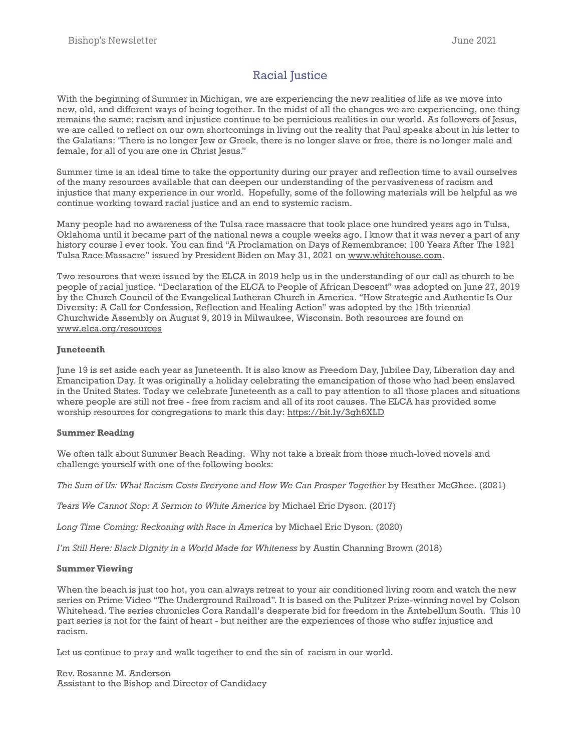# Racial Justice

With the beginning of Summer in Michigan, we are experiencing the new realities of life as we move into new, old, and different ways of being together. In the midst of all the changes we are experiencing, one thing remains the same: racism and injustice continue to be pernicious realities in our world. As followers of Jesus, we are called to reflect on our own shortcomings in living out the reality that Paul speaks about in his letter to the Galatians: 'There is no longer Jew or Greek, there is no longer slave or free, there is no longer male and female, for all of you are one in Christ Jesus."

Summer time is an ideal time to take the opportunity during our prayer and reflection time to avail ourselves of the many resources available that can deepen our understanding of the pervasiveness of racism and injustice that many experience in our world. Hopefully, some of the following materials will be helpful as we continue working toward racial justice and an end to systemic racism.

Many people had no awareness of the Tulsa race massacre that took place one hundred years ago in Tulsa, Oklahoma until it became part of the national news a couple weeks ago. I know that it was never a part of any history course I ever took. You can find "A Proclamation on Days of Remembrance: 100 Years After The 1921 Tulsa Race Massacre" issued by President Biden on May 31, 2021 on [www.whitehouse.com.](http://www.whitehouse.com)

Two resources that were issued by the ELCA in 2019 help us in the understanding of our call as church to be people of racial justice. "Declaration of the ELCA to People of African Descent" was adopted on June 27, 2019 by the Church Council of the Evangelical Lutheran Church in America. "How Strategic and Authentic Is Our Diversity: A Call for Confession, Reflection and Healing Action" was adopted by the 15th triennial Churchwide Assembly on August 9, 2019 in Milwaukee, Wisconsin. Both resources are found on [www.elca.org/resources](http://www.elca.org/resources)

#### **Juneteenth**

June 19 is set aside each year as Juneteenth. It is also know as Freedom Day, Jubilee Day, Liberation day and Emancipation Day. It was originally a holiday celebrating the emancipation of those who had been enslaved in the United States. Today we celebrate Juneteenth as a call to pay attention to all those places and situations where people are still not free - free from racism and all of its root causes. The ELCA has provided some worship resources for congregations to mark this day: <https://bit.ly/3gh6XLD>

#### **Summer Reading**

We often talk about Summer Beach Reading. Why not take a break from those much-loved novels and challenge yourself with one of the following books:

*The Sum of Us: What Racism Costs Everyone and How We Can Prosper Together* by Heather McGhee. (2021)

*Tears We Cannot Stop: A Sermon to White America* by Michael Eric Dyson. (2017)

*Long Time Coming: Reckoning with Race in America* by Michael Eric Dyson. (2020)

*I'm Still Here: Black Dignity in a World Made for Whiteness* by Austin Channing Brown (2018)

#### **Summer Viewing**

When the beach is just too hot, you can always retreat to your air conditioned living room and watch the new series on Prime Video "The Underground Railroad". It is based on the Pulitzer Prize-winning novel by Colson Whitehead. The series chronicles Cora Randall's desperate bid for freedom in the Antebellum South. This 10 part series is not for the faint of heart - but neither are the experiences of those who suffer injustice and racism.

Let us continue to pray and walk together to end the sin of racism in our world.

Rev. Rosanne M. Anderson Assistant to the Bishop and Director of Candidacy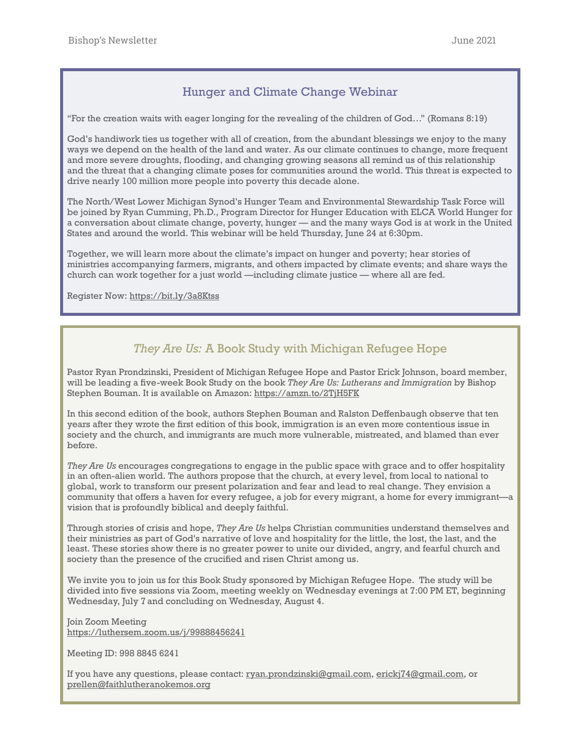## Hunger and Climate Change Webinar

"For the creation waits with eager longing for the revealing of the children of God…" (Romans 8:19)

God's handiwork ties us together with all of creation, from the abundant blessings we enjoy to the many ways we depend on the health of the land and water. As our climate continues to change, more frequent and more severe droughts, flooding, and changing growing seasons all remind us of this relationship and the threat that a changing climate poses for communities around the world. This threat is expected to drive nearly 100 million more people into poverty this decade alone.

The North/West Lower Michigan Synod's Hunger Team and Environmental Stewardship Task Force will be joined by Ryan Cumming, Ph.D., Program Director for Hunger Education with ELCA World Hunger for a conversation about climate change, poverty, hunger — and the many ways God is at work in the United States and around the world. This webinar will be held Thursday, June 24 at 6:30pm.

Together, we will learn more about the climate's impact on hunger and poverty; hear stories of ministries accompanying farmers, migrants, and others impacted by climate events; and share ways the church can work together for a just world —including climate justice — where all are fed.

Register Now: <https://bit.ly/3a8Ktss>

# *They Are Us:* A Book Study with Michigan Refugee Hope

Pastor Ryan Prondzinski, President of Michigan Refugee Hope and Pastor Erick Johnson, board member, will be leading a five-week Book Study on the book *They Are Us: Lutherans and Immigration* by Bishop Stephen Bouman. It is available on Amazon:<https://amzn.to/2TjH5FK>

In this second edition of the book, authors Stephen Bouman and Ralston Deffenbaugh observe that ten years after they wrote the first edition of this book, immigration is an even more contentious issue in society and the church, and immigrants are much more vulnerable, mistreated, and blamed than ever before.

*They Are Us* encourages congregations to engage in the public space with grace and to offer hospitality in an often-alien world. The authors propose that the church, at every level, from local to national to global, work to transform our present polarization and fear and lead to real change. They envision a community that offers a haven for every refugee, a job for every migrant, a home for every immigrant—a vision that is profoundly biblical and deeply faithful.

Through stories of crisis and hope, *They Are Us* helps Christian communities understand themselves and their ministries as part of God's narrative of love and hospitality for the little, the lost, the last, and the least. These stories show there is no greater power to unite our divided, angry, and fearful church and society than the presence of the crucified and risen Christ among us.

We invite you to join us for this Book Study sponsored by Michigan Refugee Hope. The study will be divided into five sessions via Zoom, meeting weekly on Wednesday evenings at 7:00 PM ET, beginning Wednesday, July 7 and concluding on Wednesday, August 4.

Join Zoom Meeting [https://luthersem.zoom.us/j/99888456241](about:blank%22%20%5Ct%20%22_blank)

Meeting ID: 998 8845 6241

If you have any questions, please contact: [ryan.prondzinski@gmail.com](about:blank), [erickj74@gmail.com,](about:blank) or [prellen@faithlutheranokemos.org](about:blank)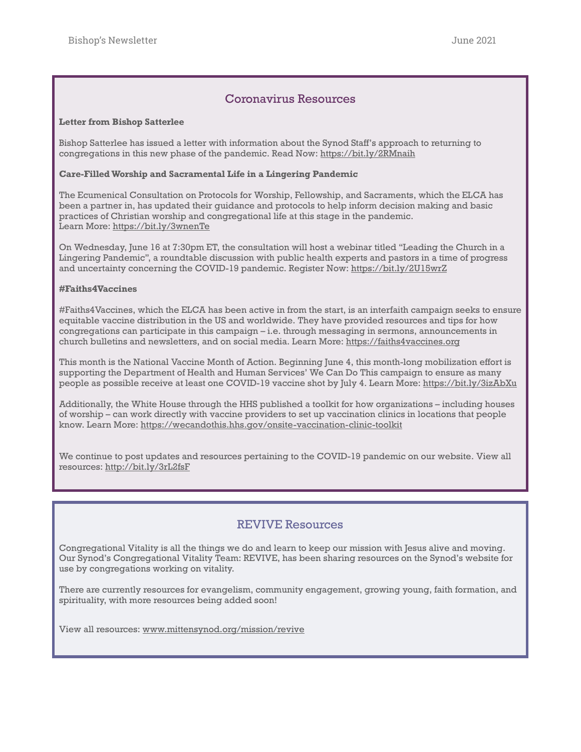## Coronavirus Resources

#### **Letter from Bishop Satterlee**

Bishop Satterlee has issued a letter with information about the Synod Staff's approach to returning to congregations in this new phase of the pandemic. Read Now: <https://bit.ly/2RMnaih>

#### **Care-Filled Worship and Sacramental Life in a Lingering Pandemic**

The Ecumenical Consultation on Protocols for Worship, Fellowship, and Sacraments, which the ELCA has been a partner in, has updated their guidance and protocols to help inform decision making and basic practices of Christian worship and congregational life at this stage in the pandemic. Learn More:<https://bit.ly/3wnenTe>

On Wednesday, June 16 at 7:30pm ET, the consultation will host a webinar titled "Leading the Church in a Lingering Pandemic", a roundtable discussion with public health experts and pastors in a time of progress and uncertainty concerning the COVID-19 pandemic. Register Now:<https://bit.ly/2U15wrZ>

#### **#Faiths4Vaccines**

#Faiths4Vaccines, which the ELCA has been active in from the start, is an interfaith campaign seeks to ensure equitable vaccine distribution in the US and worldwide. They have provided resources and tips for how congregations can participate in this campaign – i.e. through messaging in sermons, announcements in church bulletins and newsletters, and on social media. Learn More: <https://faiths4vaccines.org>

This month is the National Vaccine Month of Action. Beginning June 4, this month-long mobilization effort is supporting the Department of Health and Human Services' We Can Do This campaign to ensure as many people as possible receive at least one COVID-19 vaccine shot by July 4. Learn More:<https://bit.ly/3izAbXu>

Additionally, the White House through the HHS published a toolkit for how organizations – including houses of worship – can work directly with vaccine providers to set up vaccination clinics in locations that people know. Learn More:<https://wecandothis.hhs.gov/onsite-vaccination-clinic-toolkit>

We continue to post updates and resources pertaining to the COVID-19 pandemic on our website. View all resources: <http://bit.ly/3rL2fsF>

## REVIVE Resources

Congregational Vitality is all the things we do and learn to keep our mission with Jesus alive and moving. Our Synod's Congregational Vitality Team: REVIVE, has been sharing resources on the Synod's website for use by congregations working on vitality.

There are currently resources for evangelism, community engagement, growing young, faith formation, and spirituality, with more resources being added soon!

View all resources: [www.mittensynod.org/mission/revive](http://www.mittensynod.org/mission/revive)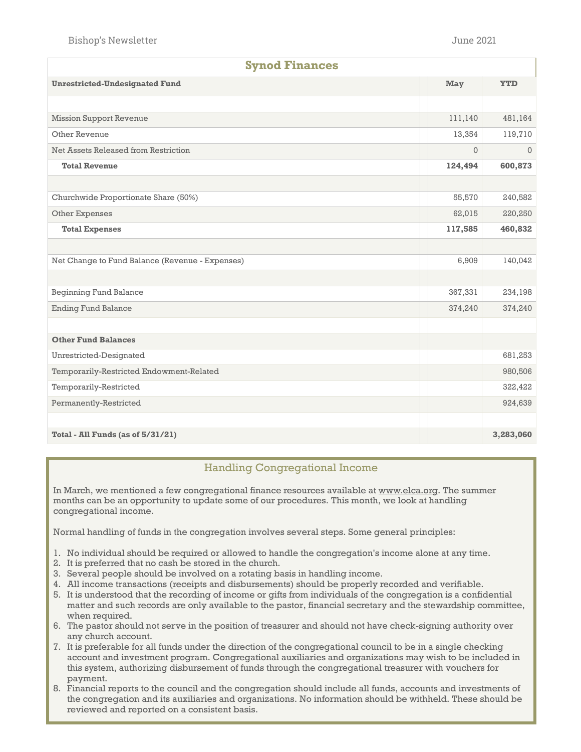| <b>Synod Finances</b>                           |         |              |  |  |
|-------------------------------------------------|---------|--------------|--|--|
| <b>Unrestricted-Undesignated Fund</b>           |         | <b>YTD</b>   |  |  |
|                                                 |         |              |  |  |
| <b>Mission Support Revenue</b>                  |         | 481,164      |  |  |
| Other Revenue                                   |         | 119,710      |  |  |
| Net Assets Released from Restriction            |         | $\mathbf{0}$ |  |  |
| <b>Total Revenue</b>                            | 124,494 | 600,873      |  |  |
|                                                 |         |              |  |  |
| Churchwide Proportionate Share (50%)            | 55,570  | 240,582      |  |  |
| Other Expenses                                  | 62,015  | 220,250      |  |  |
| <b>Total Expenses</b>                           | 117,585 | 460,832      |  |  |
|                                                 |         |              |  |  |
| Net Change to Fund Balance (Revenue - Expenses) | 6,909   | 140,042      |  |  |
|                                                 |         |              |  |  |
| <b>Beginning Fund Balance</b>                   | 367,331 | 234,198      |  |  |
| <b>Ending Fund Balance</b>                      | 374,240 | 374,240      |  |  |
|                                                 |         |              |  |  |
| <b>Other Fund Balances</b>                      |         |              |  |  |
| Unrestricted-Designated                         |         | 681,253      |  |  |
| Temporarily-Restricted Endowment-Related        |         | 980,506      |  |  |
| Temporarily-Restricted                          |         | 322,422      |  |  |
| Permanently-Restricted                          |         | 924,639      |  |  |
|                                                 |         |              |  |  |
| Total - All Funds (as of 5/31/21)               |         | 3,283,060    |  |  |

## Handling Congregational Income

In March, we mentioned a few congregational finance resources available at [www.elca.org.](http://www.elca.org) The summer months can be an opportunity to update some of our procedures. This month, we look at handling congregational income.

Normal handling of funds in the congregation involves several steps. Some general principles:

- 1. No individual should be required or allowed to handle the congregation's income alone at any time.
- 2. It is preferred that no cash be stored in the church.
- 3. Several people should be involved on a rotating basis in handling income.
- 4. All income transactions (receipts and disbursements) should be properly recorded and verifiable.
- 5. It is understood that the recording of income or gifts from individuals of the congregation is a confidential matter and such records are only available to the pastor, financial secretary and the stewardship committee, when required.
- 6. The pastor should not serve in the position of treasurer and should not have check-signing authority over any church account.
- 7. It is preferable for all funds under the direction of the congregational council to be in a single checking account and investment program. Congregational auxiliaries and organizations may wish to be included in this system, authorizing disbursement of funds through the congregational treasurer with vouchers for payment.
- 8. Financial reports to the council and the congregation should include all funds, accounts and investments of the congregation and its auxiliaries and organizations. No information should be withheld. These should be reviewed and reported on a consistent basis.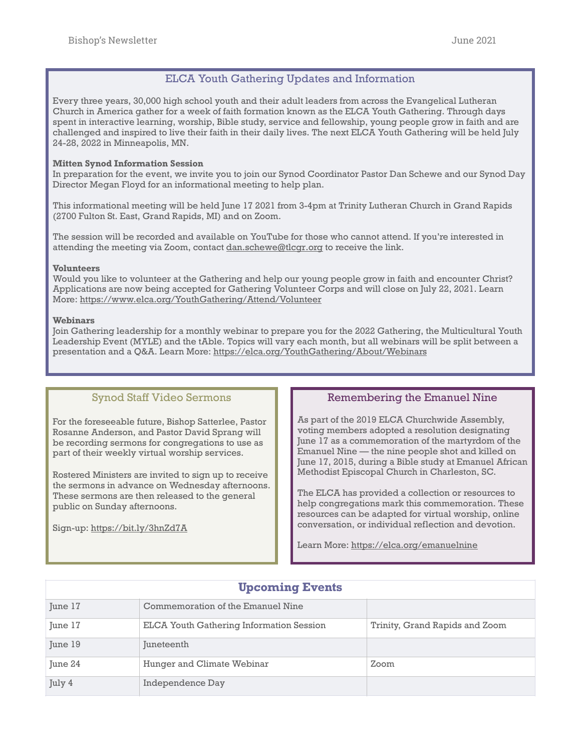## ELCA Youth Gathering Updates and Information

Every three years, 30,000 high school youth and their adult leaders from across the Evangelical Lutheran Church in America gather for a week of faith formation known as the ELCA Youth Gathering. Through days spent in interactive learning, worship, Bible study, service and fellowship, young people grow in faith and are challenged and inspired to live their faith in their daily lives. The next ELCA Youth Gathering will be held July 24-28, 2022 in Minneapolis, MN.

#### **Mitten Synod Information Session**

In preparation for the event, we invite you to join our Synod Coordinator Pastor Dan Schewe and our Synod Day Director Megan Floyd for an informational meeting to help plan.

This informational meeting will be held June 17 2021 from 3-4pm at Trinity Lutheran Church in Grand Rapids (2700 Fulton St. East, Grand Rapids, MI) and on Zoom.

The session will be recorded and available on YouTube for those who cannot attend. If you're interested in attending the meeting via Zoom, contact [dan.schewe@tlcgr.org](mailto:dan.schewe@tlcgr.org) to receive the link.

#### **Volunteers**

Would you like to volunteer at the Gathering and help our young people grow in faith and encounter Christ? Applications are now being accepted for Gathering Volunteer Corps and will close on July 22, 2021. Learn More:<https://www.elca.org/YouthGathering/Attend/Volunteer>

#### **Webinars**

Join Gathering leadership for a monthly webinar to prepare you for the 2022 Gathering, the Multicultural Youth Leadership Event (MYLE) and the tAble. Topics will vary each month, but all webinars will be split between a presentation and a Q&A. Learn More:<https://elca.org/YouthGathering/About/Webinars>

### Synod Staff Video Sermons

For the foreseeable future, Bishop Satterlee, Pastor Rosanne Anderson, and Pastor David Sprang will be recording sermons for congregations to use as part of their weekly virtual worship services.

Rostered Ministers are invited to sign up to receive the sermons in advance on Wednesday afternoons. These sermons are then released to the general public on Sunday afternoons.

Sign-up: <https://bit.ly/3hnZd7A>

## Remembering the Emanuel Nine

As part of the 2019 ELCA Churchwide Assembly, voting members adopted a resolution designating June 17 as a commemoration of the martyrdom of the Emanuel Nine — the nine people shot and killed on June 17, 2015, during a Bible study at Emanuel African Methodist Episcopal Church in Charleston, SC.

The ELCA has provided a collection or resources to help congregations mark this commemoration. These resources can be adapted for virtual worship, online conversation, or individual reflection and devotion.

Learn More:<https://elca.org/emanuelnine>

| June 17 | Commemoration of the Emanuel Nine               |                                |
|---------|-------------------------------------------------|--------------------------------|
| June 17 | <b>ELCA Youth Gathering Information Session</b> | Trinity, Grand Rapids and Zoom |
| June 19 | Juneteenth                                      |                                |
| June 24 | Hunger and Climate Webinar                      | Zoom                           |
| July 4  | Independence Day                                |                                |

# **Upcoming Events**